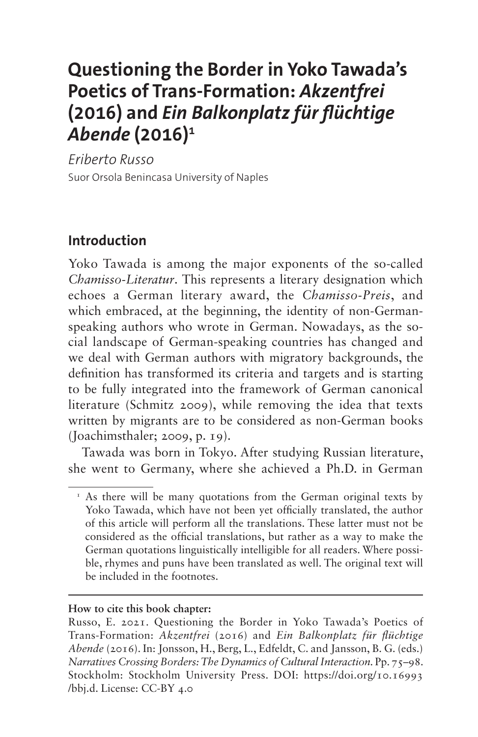# **Questioning the Border in Yoko Tawada's Poetics of Trans-Formation:** *Akzentfrei* **(2016) and** *Ein Balkonplatz für flüchtige Abende* **(2016)[1](#page-0-0)**

*Eriberto Russo* Suor Orsola Benincasa University of Naples

#### **Introduction**

Yoko Tawada is among the major exponents of the so-called *Chamisso-Literatur*. This represents a literary designation which echoes a German literary award, the *Chamisso-Preis*, and which embraced, at the beginning, the identity of non-Germanspeaking authors who wrote in German. Nowadays, as the social landscape of German-speaking countries has changed and we deal with German authors with migratory backgrounds, the definition has transformed its criteria and targets and is starting to be fully integrated into the framework of German canonical literature (Schmitz 2009), while removing the idea that texts written by migrants are to be considered as non-German books (Joachimsthaler; 2009, p. 19).

Tawada was born in Tokyo. After studying Russian literature, she went to Germany, where she achieved a Ph.D. in German

#### **How to cite this book chapter:**

<span id="page-0-0"></span><sup>&</sup>lt;sup>1</sup> As there will be many quotations from the German original texts by Yoko Tawada, which have not been yet officially translated, the author of this article will perform all the translations. These latter must not be considered as the official translations, but rather as a way to make the German quotations linguistically intelligible for all readers. Where possible, rhymes and puns have been translated as well. The original text will be included in the footnotes.

Russo, E. 2021. Questioning the Border in Yoko Tawada's Poetics of Trans-Formation: *Akzentfrei* (2016) and *Ein Balkonplatz für flüchtige Abende* (2016). In: Jonsson, H., Berg, L., Edfeldt, C. and Jansson, B. G. (eds.) *Narratives Crossing Borders: The Dynamics of Cultural Interaction. Pp. 75–98.* Stockholm: Stockholm University Press. DOI: [https://doi.org/10.16993](https://doi.org/10.16993/bbj.d) [/bbj.d](https://doi.org/10.16993/bbj.d). License: CC-BY 4.0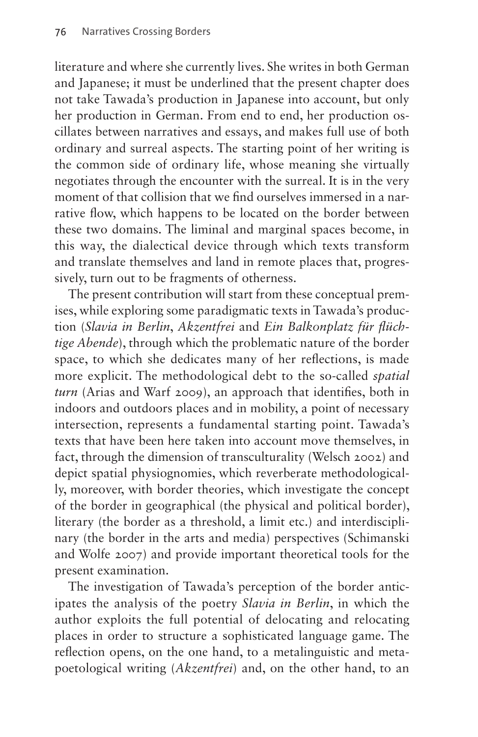literature and where she currently lives. She writes in both German and Japanese; it must be underlined that the present chapter does not take Tawada's production in Japanese into account, but only her production in German. From end to end, her production oscillates between narratives and essays, and makes full use of both ordinary and surreal aspects. The starting point of her writing is the common side of ordinary life, whose meaning she virtually negotiates through the encounter with the surreal. It is in the very moment of that collision that we find ourselves immersed in a narrative flow, which happens to be located on the border between these two domains. The liminal and marginal spaces become, in this way, the dialectical device through which texts transform and translate themselves and land in remote places that, progressively, turn out to be fragments of otherness.

The present contribution will start from these conceptual premises, while exploring some paradigmatic texts in Tawada's production (*Slavia in Berlin*, *Akzentfrei* and *Ein Balkonplatz für flüchtige Abende*), through which the problematic nature of the border space, to which she dedicates many of her reflections, is made more explicit. The methodological debt to the so-called *spatial turn* (Arias and Warf 2009), an approach that identifies, both in indoors and outdoors places and in mobility, a point of necessary intersection, represents a fundamental starting point. Tawada's texts that have been here taken into account move themselves, in fact, through the dimension of transculturality (Welsch 2002) and depict spatial physiognomies, which reverberate methodologically, moreover, with border theories, which investigate the concept of the border in geographical (the physical and political border), literary (the border as a threshold, a limit etc.) and interdisciplinary (the border in the arts and media) perspectives (Schimanski and Wolfe 2007) and provide important theoretical tools for the present examination.

The investigation of Tawada's perception of the border anticipates the analysis of the poetry *Slavia in Berlin*, in which the author exploits the full potential of delocating and relocating places in order to structure a sophisticated language game. The reflection opens, on the one hand, to a metalinguistic and metapoetological writing (*Akzentfrei*) and, on the other hand, to an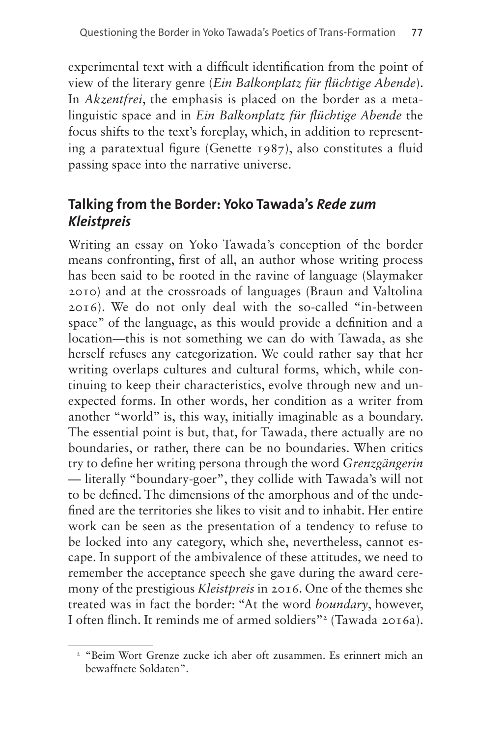experimental text with a difficult identification from the point of view of the literary genre (*Ein Balkonplatz für flüchtige Abende*). In *Akzentfrei*, the emphasis is placed on the border as a metalinguistic space and in *Ein Balkonplatz für flüchtige Abende* the focus shifts to the text's foreplay, which, in addition to representing a paratextual figure (Genette 1987), also constitutes a fluid passing space into the narrative universe.

### **Talking from the Border: Yoko Tawada's** *Rede zum Kleistpreis*

Writing an essay on Yoko Tawada's conception of the border means confronting, first of all, an author whose writing process has been said to be rooted in the ravine of language (Slaymaker 2010) and at the crossroads of languages (Braun and Valtolina 2016). We do not only deal with the so-called "in-between space" of the language, as this would provide a definition and a location—this is not something we can do with Tawada, as she herself refuses any categorization. We could rather say that her writing overlaps cultures and cultural forms, which, while continuing to keep their characteristics, evolve through new and unexpected forms. In other words, her condition as a writer from another "world" is, this way, initially imaginable as a boundary. The essential point is but, that, for Tawada, there actually are no boundaries, or rather, there can be no boundaries. When critics try to define her writing persona through the word *Grenzgängerin*  — literally "boundary-goer", they collide with Tawada's will not to be defined. The dimensions of the amorphous and of the undefined are the territories she likes to visit and to inhabit. Her entire work can be seen as the presentation of a tendency to refuse to be locked into any category, which she, nevertheless, cannot escape. In support of the ambivalence of these attitudes, we need to remember the acceptance speech she gave during the award ceremony of the prestigious *Kleistpreis* in 2016. One of the themes she treated was in fact the border: "At the word *boundary*, however, I often flinch. It reminds me of armed soldiers"<sup>2</sup> (Tawada 2016a).

<span id="page-2-0"></span><sup>2</sup> "Beim Wort Grenze zucke ich aber oft zusammen. Es erinnert mich an bewaffnete Soldaten".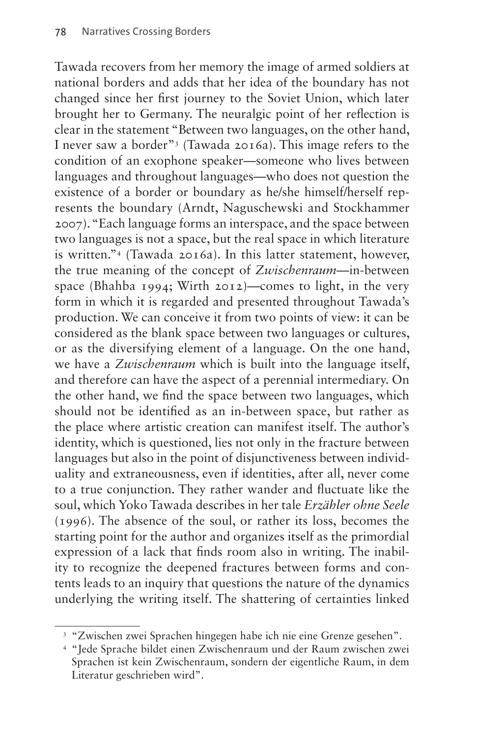Tawada recovers from her memory the image of armed soldiers at national borders and adds that her idea of the boundary has not changed since her first journey to the Soviet Union, which later brought her to Germany. The neuralgic point of her reflection is clear in the statement "Between two languages, on the other hand, I never saw a border"3 (Tawada 2016a). This image refers to the condition of an exophone speaker—someone who lives between languages and throughout languages—who does not question the existence of a border or boundary as he/she himself/herself represents the boundary (Arndt, Naguschewski and Stockhammer 2007). "Each language forms an interspace, and the space between two languages is not a space, but the real space in which literature is written.["4](#page-3-0) (Tawada 2016a). In this latter statement, however, the true meaning of the concept of *Zwischenraum*—in-between space (Bhahba 1994; Wirth 2012)—comes to light, in the very form in which it is regarded and presented throughout Tawada's production. We can conceive it from two points of view: it can be considered as the blank space between two languages or cultures, or as the diversifying element of a language. On the one hand, we have a *Zwischenraum* which is built into the language itself, and therefore can have the aspect of a perennial intermediary. On the other hand, we find the space between two languages, which should not be identified as an in-between space, but rather as the place where artistic creation can manifest itself. The author's identity, which is questioned, lies not only in the fracture between languages but also in the point of disjunctiveness between individuality and extraneousness, even if identities, after all, never come to a true conjunction. They rather wander and fluctuate like the soul, which Yoko Tawada describes in her tale *Erzähler ohne Seele* (1996). The absence of the soul, or rather its loss, becomes the starting point for the author and organizes itself as the primordial expression of a lack that finds room also in writing. The inability to recognize the deepened fractures between forms and contents leads to an inquiry that questions the nature of the dynamics underlying the writing itself. The shattering of certainties linked

<sup>&</sup>lt;sup>3</sup> "Zwischen zwei Sprachen hingegen habe ich nie eine Grenze gesehen".

<span id="page-3-0"></span><sup>4</sup> "Jede Sprache bildet einen Zwischenraum und der Raum zwischen zwei Sprachen ist kein Zwischenraum, sondern der eigentliche Raum, in dem Literatur geschrieben wird".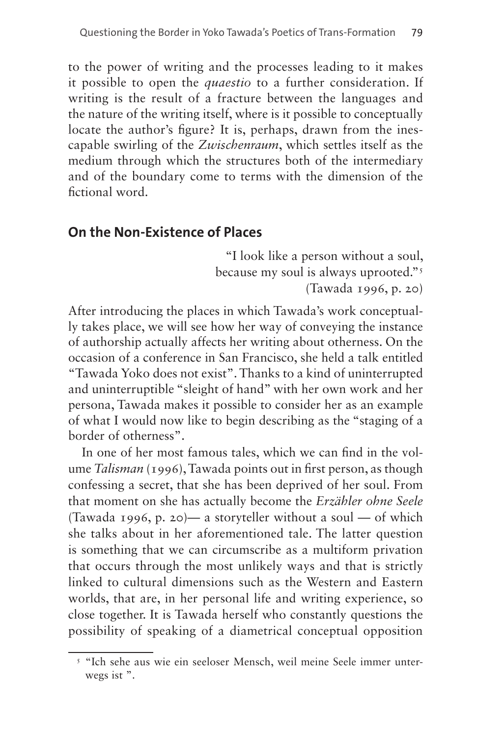to the power of writing and the processes leading to it makes it possible to open the *quaestio* to a further consideration. If writing is the result of a fracture between the languages and the nature of the writing itself, where is it possible to conceptually locate the author's figure? It is, perhaps, drawn from the inescapable swirling of the *Zwischenraum*, which settles itself as the medium through which the structures both of the intermediary and of the boundary come to terms with the dimension of the fictional word.

#### **On the Non-Existence of Places**

"I look like a person without a soul, because my soul is always uprooted.["5](#page-4-0) (Tawada 1996, p. 20)

After introducing the places in which Tawada's work conceptually takes place, we will see how her way of conveying the instance of authorship actually affects her writing about otherness. On the occasion of a conference in San Francisco, she held a talk entitled "Tawada Yoko does not exist". Thanks to a kind of uninterrupted and uninterruptible "sleight of hand" with her own work and her persona, Tawada makes it possible to consider her as an example of what I would now like to begin describing as the "staging of a border of otherness".

In one of her most famous tales, which we can find in the volume *Talisman* (1996), Tawada points out in first person, as though confessing a secret, that she has been deprived of her soul. From that moment on she has actually become the *Erzähler ohne Seele* (Tawada 1996, p. 20)— a storyteller without a soul — of which she talks about in her aforementioned tale. The latter question is something that we can circumscribe as a multiform privation that occurs through the most unlikely ways and that is strictly linked to cultural dimensions such as the Western and Eastern worlds, that are, in her personal life and writing experience, so close together. It is Tawada herself who constantly questions the possibility of speaking of a diametrical conceptual opposition

<span id="page-4-0"></span><sup>5</sup> "Ich sehe aus wie ein seeloser Mensch, weil meine Seele immer unterwegs ist ".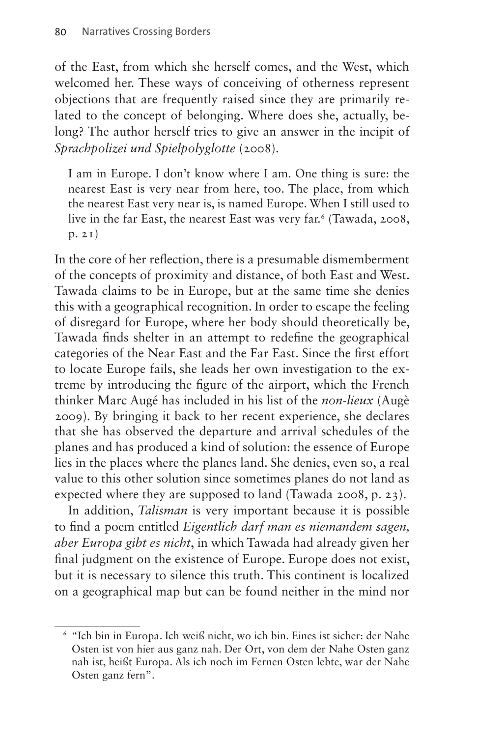of the East, from which she herself comes, and the West, which welcomed her. These ways of conceiving of otherness represent objections that are frequently raised since they are primarily related to the concept of belonging. Where does she, actually, belong? The author herself tries to give an answer in the incipit of *Sprachpolizei und Spielpolyglotte* (2008).

I am in Europe. I don't know where I am. One thing is sure: the nearest East is very near from here, too. The place, from which the nearest East very near is, is named Europe. When I still used to live in the far East, the nearest East was very far.<sup>[6](#page-5-0)</sup> (Tawada, 2008, p. 21)

In the core of her reflection, there is a presumable dismemberment of the concepts of proximity and distance, of both East and West. Tawada claims to be in Europe, but at the same time she denies this with a geographical recognition. In order to escape the feeling of disregard for Europe, where her body should theoretically be, Tawada finds shelter in an attempt to redefine the geographical categories of the Near East and the Far East. Since the first effort to locate Europe fails, she leads her own investigation to the extreme by introducing the figure of the airport, which the French thinker Marc Augé has included in his list of the *non-lieux* (Augè 2009). By bringing it back to her recent experience, she declares that she has observed the departure and arrival schedules of the planes and has produced a kind of solution: the essence of Europe lies in the places where the planes land. She denies, even so, a real value to this other solution since sometimes planes do not land as expected where they are supposed to land (Tawada 2008, p. 23).

In addition, *Talisman* is very important because it is possible to find a poem entitled *Eigentlich darf man es niemandem sagen, aber Europa gibt es nicht*, in which Tawada had already given her final judgment on the existence of Europe. Europe does not exist, but it is necessary to silence this truth. This continent is localized on a geographical map but can be found neither in the mind nor

<span id="page-5-0"></span><sup>6</sup> "Ich bin in Europa. Ich weiß nicht, wo ich bin. Eines ist sicher: der Nahe Osten ist von hier aus ganz nah. Der Ort, von dem der Nahe Osten ganz nah ist, heißt Europa. Als ich noch im Fernen Osten lebte, war der Nahe Osten ganz fern".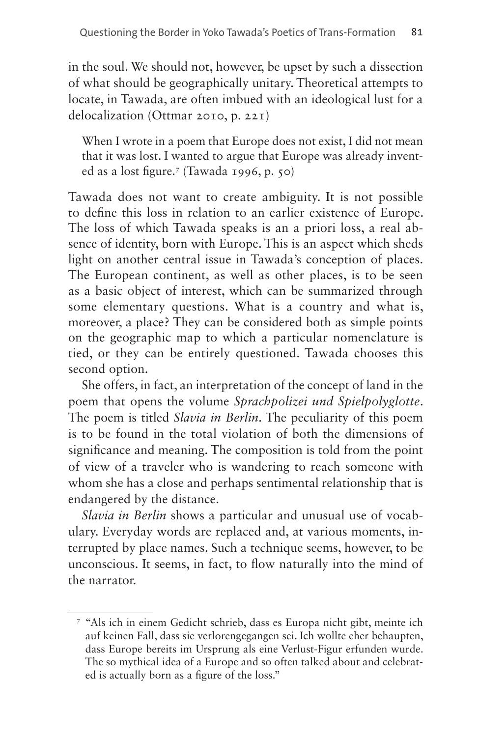in the soul. We should not, however, be upset by such a dissection of what should be geographically unitary. Theoretical attempts to locate, in Tawada, are often imbued with an ideological lust for a delocalization (Ottmar 2010, p. 221)

When I wrote in a poem that Europe does not exist, I did not mean that it was lost. I wanted to argue that Europe was already invented as a lost figure.[7](#page-6-0) (Tawada 1996, p. 50)

Tawada does not want to create ambiguity. It is not possible to define this loss in relation to an earlier existence of Europe. The loss of which Tawada speaks is an a priori loss, a real absence of identity, born with Europe. This is an aspect which sheds light on another central issue in Tawada's conception of places. The European continent, as well as other places, is to be seen as a basic object of interest, which can be summarized through some elementary questions. What is a country and what is, moreover, a place? They can be considered both as simple points on the geographic map to which a particular nomenclature is tied, or they can be entirely questioned. Tawada chooses this second option.

She offers, in fact, an interpretation of the concept of land in the poem that opens the volume *Sprachpolizei und Spielpolyglotte*. The poem is titled *Slavia in Berlin*. The peculiarity of this poem is to be found in the total violation of both the dimensions of significance and meaning. The composition is told from the point of view of a traveler who is wandering to reach someone with whom she has a close and perhaps sentimental relationship that is endangered by the distance.

*Slavia in Berlin* shows a particular and unusual use of vocabulary. Everyday words are replaced and, at various moments, interrupted by place names. Such a technique seems, however, to be unconscious. It seems, in fact, to flow naturally into the mind of the narrator.

<span id="page-6-0"></span><sup>7</sup> "Als ich in einem Gedicht schrieb, dass es Europa nicht gibt, meinte ich auf keinen Fall, dass sie verlorengegangen sei. Ich wollte eher behaupten, dass Europe bereits im Ursprung als eine Verlust-Figur erfunden wurde. The so mythical idea of a Europe and so often talked about and celebrated is actually born as a figure of the loss."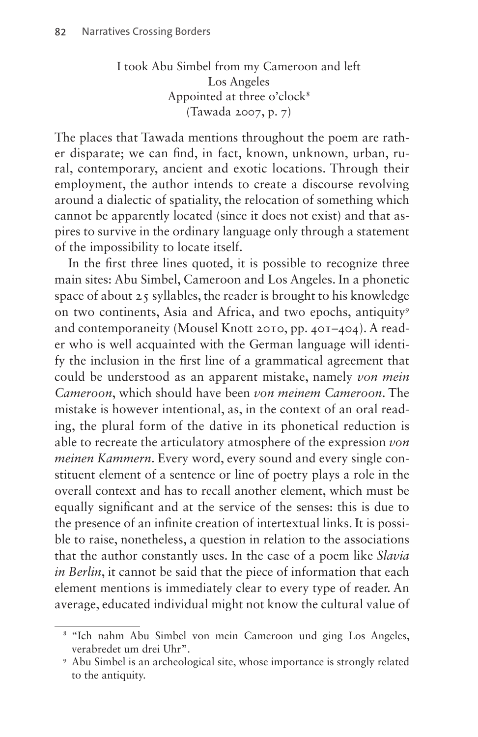I took Abu Simbel from my Cameroon and left Los Angeles Appointed at three o'clock<sup>8</sup> (Tawada 2007, p. 7)

The places that Tawada mentions throughout the poem are rather disparate; we can find, in fact, known, unknown, urban, rural, contemporary, ancient and exotic locations. Through their employment, the author intends to create a discourse revolving around a dialectic of spatiality, the relocation of something which cannot be apparently located (since it does not exist) and that aspires to survive in the ordinary language only through a statement of the impossibility to locate itself.

In the first three lines quoted, it is possible to recognize three main sites: Abu Simbel, Cameroon and Los Angeles. In a phonetic space of about  $25$  syllables, the reader is brought to his knowledge on two continents, Asia and Africa, and two epochs, antiquity<sup>[9](#page-7-1)</sup> and contemporaneity (Mousel Knott 2010, pp. 401–404). A reader who is well acquainted with the German language will identify the inclusion in the first line of a grammatical agreement that could be understood as an apparent mistake, namely *von mein Cameroon*, which should have been *von meinem Cameroon*. The mistake is however intentional, as, in the context of an oral reading, the plural form of the dative in its phonetical reduction is able to recreate the articulatory atmosphere of the expression *von meinen Kammern*. Every word, every sound and every single constituent element of a sentence or line of poetry plays a role in the overall context and has to recall another element, which must be equally significant and at the service of the senses: this is due to the presence of an infinite creation of intertextual links. It is possible to raise, nonetheless, a question in relation to the associations that the author constantly uses. In the case of a poem like *Slavia in Berlin*, it cannot be said that the piece of information that each element mentions is immediately clear to every type of reader. An average, educated individual might not know the cultural value of

<span id="page-7-0"></span><sup>8</sup> "Ich nahm Abu Simbel von mein Cameroon und ging Los Angeles, verabredet um drei Uhr".

<span id="page-7-1"></span><sup>9</sup> Abu Simbel is an archeological site, whose importance is strongly related to the antiquity.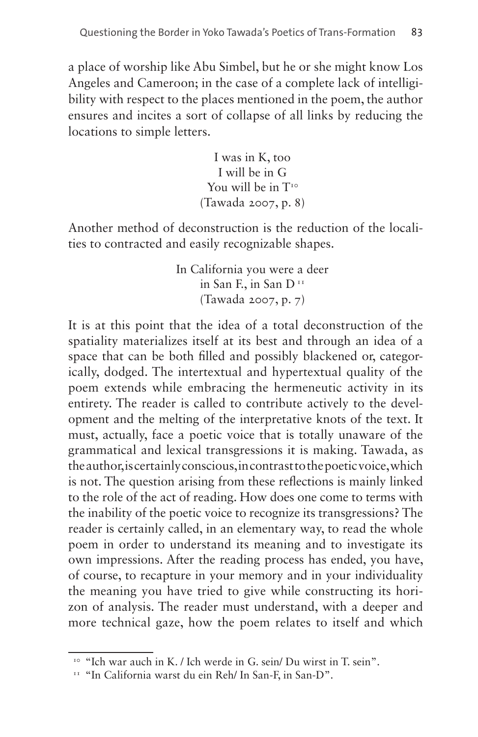a place of worship like Abu Simbel, but he or she might know Los Angeles and Cameroon; in the case of a complete lack of intelligibility with respect to the places mentioned in the poem, the author ensures and incites a sort of collapse of all links by reducing the locations to simple letters.

> I was in K, too I will be in G You will be in  $T^{10}$ (Tawada 2007, p. 8)

Another method of deconstruction is the reduction of the localities to contracted and easily recognizable shapes.

> In California you were a deer in San F., in San D<sup>[11](#page-8-1)</sup> (Tawada 2007, p. 7)

It is at this point that the idea of a total deconstruction of the spatiality materializes itself at its best and through an idea of a space that can be both filled and possibly blackened or, categorically, dodged. The intertextual and hypertextual quality of the poem extends while embracing the hermeneutic activity in its entirety. The reader is called to contribute actively to the development and the melting of the interpretative knots of the text. It must, actually, face a poetic voice that is totally unaware of the grammatical and lexical transgressions it is making. Tawada, as the author, is certainly conscious, in contrast to the poetic voice, which is not. The question arising from these reflections is mainly linked to the role of the act of reading. How does one come to terms with the inability of the poetic voice to recognize its transgressions? The reader is certainly called, in an elementary way, to read the whole poem in order to understand its meaning and to investigate its own impressions. After the reading process has ended, you have, of course, to recapture in your memory and in your individuality the meaning you have tried to give while constructing its horizon of analysis. The reader must understand, with a deeper and more technical gaze, how the poem relates to itself and which

<span id="page-8-0"></span><sup>&</sup>lt;sup>10</sup> "Ich war auch in K. / Ich werde in G. sein/ Du wirst in T. sein".

<span id="page-8-1"></span><sup>&</sup>lt;sup>11</sup> "In California warst du ein Reh/ In San-F, in San-D".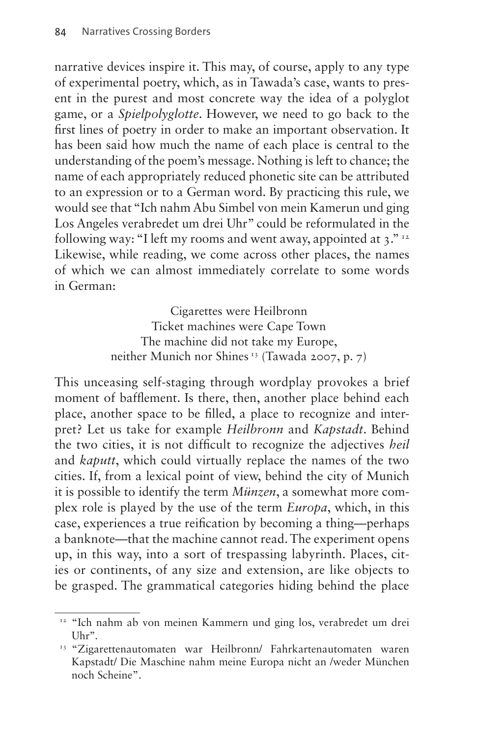narrative devices inspire it. This may, of course, apply to any type of experimental poetry, which, as in Tawada's case, wants to present in the purest and most concrete way the idea of a polyglot game, or a *Spielpolyglotte*. However, we need to go back to the first lines of poetry in order to make an important observation. It has been said how much the name of each place is central to the understanding of the poem's message. Nothing is left to chance; the name of each appropriately reduced phonetic site can be attributed to an expression or to a German word. By practicing this rule, we would see that "Ich nahm Abu Simbel von mein Kamerun und ging Los Angeles verabredet um drei Uhr" could be reformulated in the following way: "I left my rooms and went away, appointed at  $3.^{v_{12}}$ Likewise, while reading, we come across other places, the names of which we can almost immediately correlate to some words in German:

> Cigarettes were Heilbronn Ticket machines were Cape Town The machine did not take my Europe, neither Munich nor Shines [13](#page-9-1) (Tawada 2007, p. 7)

This unceasing self-staging through wordplay provokes a brief moment of bafflement. Is there, then, another place behind each place, another space to be filled, a place to recognize and interpret? Let us take for example *Heilbronn* and *Kapstadt*. Behind the two cities, it is not difficult to recognize the adjectives *heil*  and *kaputt*, which could virtually replace the names of the two cities. If, from a lexical point of view, behind the city of Munich it is possible to identify the term *Münzen*, a somewhat more complex role is played by the use of the term *Europa*, which, in this case, experiences a true reification by becoming a thing—perhaps a banknote—that the machine cannot read. The experiment opens up, in this way, into a sort of trespassing labyrinth. Places, cities or continents, of any size and extension, are like objects to be grasped. The grammatical categories hiding behind the place

<span id="page-9-0"></span><sup>&</sup>lt;sup>12</sup> "Ich nahm ab von meinen Kammern und ging los, verabredet um drei Uhr''.

<span id="page-9-1"></span><sup>&</sup>lt;sup>13</sup> "Zigarettenautomaten war Heilbronn/ Fahrkartenautomaten waren Kapstadt/ Die Maschine nahm meine Europa nicht an /weder München noch Scheine".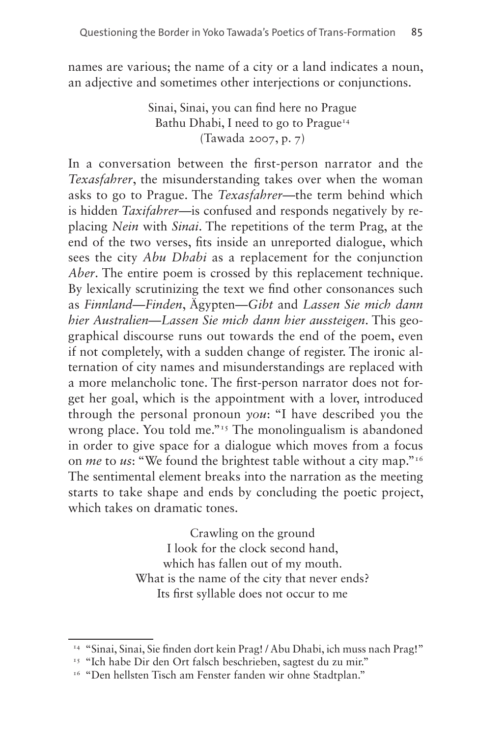names are various; the name of a city or a land indicates a noun, an adjective and sometimes other interjections or conjunctions.

> Sinai, Sinai, you can find here no Prague Bathu Dhabi, I need to go to Prague<sup>14</sup> (Tawada 2007, p. 7)

In a conversation between the first-person narrator and the *Texasfahrer*, the misunderstanding takes over when the woman asks to go to Prague. The *Texasfahrer*—the term behind which is hidden *Taxifahrer*—is confused and responds negatively by replacing *Nein* with *Sinai*. The repetitions of the term Prag, at the end of the two verses, fits inside an unreported dialogue, which sees the city *Abu Dhabi* as a replacement for the conjunction *Aber*. The entire poem is crossed by this replacement technique. By lexically scrutinizing the text we find other consonances such as *Finnland*—*Finden*, Ägypten—*Gibt* and *Lassen Sie mich dann hier Australien*—*Lassen Sie mich dann hier aussteigen*. This geographical discourse runs out towards the end of the poem, even if not completely, with a sudden change of register. The ironic alternation of city names and misunderstandings are replaced with a more melancholic tone. The first-person narrator does not forget her goal, which is the appointment with a lover, introduced through the personal pronoun *you*: "I have described you the wrong place. You told me."<sup>15</sup> The monolingualism is abandoned in order to give space for a dialogue which moves from a focus on *me* to *us*: "We found the brightest table without a city map."[16](#page-10-2) The sentimental element breaks into the narration as the meeting starts to take shape and ends by concluding the poetic project, which takes on dramatic tones.

> Crawling on the ground I look for the clock second hand, which has fallen out of my mouth. What is the name of the city that never ends? Its first syllable does not occur to me

<span id="page-10-0"></span><sup>14</sup> "Sinai, Sinai, Sie finden dort kein Prag! / Abu Dhabi, ich muss nach Prag!"

<span id="page-10-1"></span><sup>15</sup> "Ich habe Dir den Ort falsch beschrieben, sagtest du zu mir." 16 "Den hellsten Tisch am Fenster fanden wir ohne Stadtplan."

<span id="page-10-2"></span>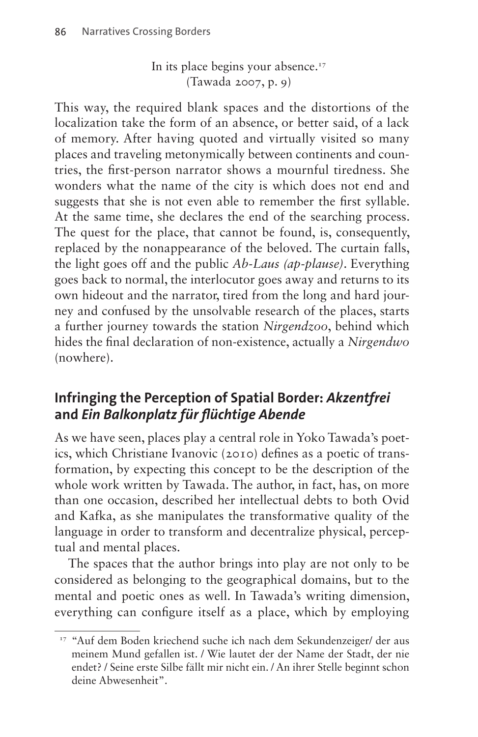In its place begins your absence.<sup>17</sup> (Tawada 2007, p. 9)

This way, the required blank spaces and the distortions of the localization take the form of an absence, or better said, of a lack of memory. After having quoted and virtually visited so many places and traveling metonymically between continents and countries, the first-person narrator shows a mournful tiredness. She wonders what the name of the city is which does not end and suggests that she is not even able to remember the first syllable. At the same time, she declares the end of the searching process. The quest for the place, that cannot be found, is, consequently, replaced by the nonappearance of the beloved. The curtain falls, the light goes off and the public *Ab-Laus (ap-plause)*. Everything goes back to normal, the interlocutor goes away and returns to its own hideout and the narrator, tired from the long and hard journey and confused by the unsolvable research of the places, starts a further journey towards the station *Nirgendzoo*, behind which hides the final declaration of non-existence, actually a *Nirgendwo* (nowhere).

### **Infringing the Perception of Spatial Border:** *Akzentfrei*  **and** *Ein Balkonplatz für flüchtige Abende*

As we have seen, places play a central role in Yoko Tawada's poetics, which Christiane Ivanovic (2010) defines as a poetic of transformation, by expecting this concept to be the description of the whole work written by Tawada. The author, in fact, has, on more than one occasion, described her intellectual debts to both Ovid and Kafka, as she manipulates the transformative quality of the language in order to transform and decentralize physical, perceptual and mental places.

The spaces that the author brings into play are not only to be considered as belonging to the geographical domains, but to the mental and poetic ones as well. In Tawada's writing dimension, everything can configure itself as a place, which by employing

<span id="page-11-0"></span><sup>&</sup>lt;sup>17</sup> "Auf dem Boden kriechend suche ich nach dem Sekundenzeiger/ der aus meinem Mund gefallen ist. / Wie lautet der der Name der Stadt, der nie endet? / Seine erste Silbe fällt mir nicht ein. / An ihrer Stelle beginnt schon deine Abwesenheit".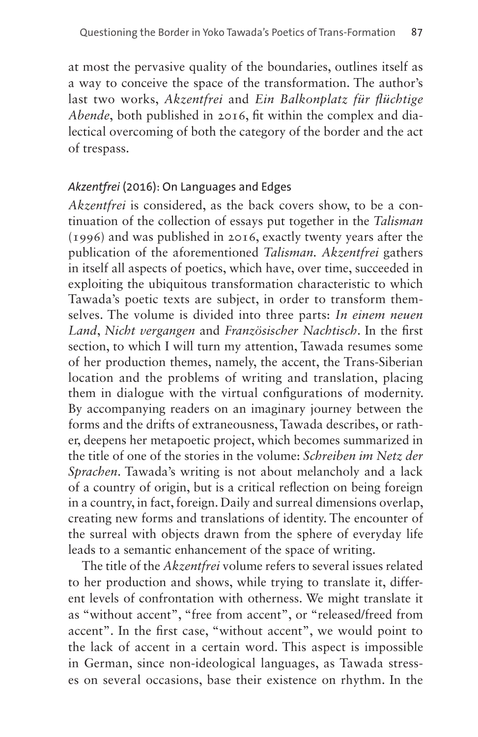at most the pervasive quality of the boundaries, outlines itself as a way to conceive the space of the transformation. The author's last two works, *Akzentfrei* and *Ein Balkonplatz für flüchtige Abende*, both published in 2016, fit within the complex and dialectical overcoming of both the category of the border and the act of trespass.

#### *Akzentfrei* (2016): On Languages and Edges

*Akzentfrei* is considered, as the back covers show, to be a continuation of the collection of essays put together in the *Talisman*  (1996) and was published in 2016, exactly twenty years after the publication of the aforementioned *Talisman. Akzentfrei* gathers in itself all aspects of poetics, which have, over time, succeeded in exploiting the ubiquitous transformation characteristic to which Tawada's poetic texts are subject, in order to transform themselves. The volume is divided into three parts: *In einem neuen Land*, *Nicht vergangen* and *Französischer Nachtisch*. In the first section, to which I will turn my attention, Tawada resumes some of her production themes, namely, the accent, the Trans-Siberian location and the problems of writing and translation, placing them in dialogue with the virtual configurations of modernity. By accompanying readers on an imaginary journey between the forms and the drifts of extraneousness, Tawada describes, or rather, deepens her metapoetic project, which becomes summarized in the title of one of the stories in the volume: *Schreiben im Netz der Sprachen*. Tawada's writing is not about melancholy and a lack of a country of origin, but is a critical reflection on being foreign in a country, in fact, foreign. Daily and surreal dimensions overlap, creating new forms and translations of identity. The encounter of the surreal with objects drawn from the sphere of everyday life leads to a semantic enhancement of the space of writing.

The title of the *Akzentfrei* volume refers to several issues related to her production and shows, while trying to translate it, different levels of confrontation with otherness. We might translate it as "without accent", "free from accent", or "released/freed from accent". In the first case, "without accent", we would point to the lack of accent in a certain word. This aspect is impossible in German, since non-ideological languages, as Tawada stresses on several occasions, base their existence on rhythm. In the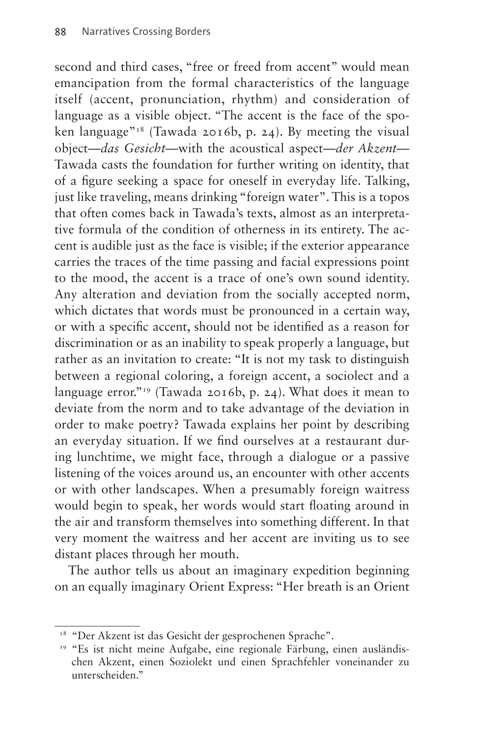second and third cases, "free or freed from accent" would mean emancipation from the formal characteristics of the language itself (accent, pronunciation, rhythm) and consideration of language as a visible object. "The accent is the face of the spoken language"<sup>18</sup> (Tawada 2016b, p. 24). By meeting the visual object—*das Gesicht*—with the acoustical aspect—*der Akzent*— Tawada casts the foundation for further writing on identity, that of a figure seeking a space for oneself in everyday life. Talking, just like traveling, means drinking "foreign water". This is a topos that often comes back in Tawada's texts, almost as an interpretative formula of the condition of otherness in its entirety. The accent is audible just as the face is visible; if the exterior appearance carries the traces of the time passing and facial expressions point to the mood, the accent is a trace of one's own sound identity. Any alteration and deviation from the socially accepted norm, which dictates that words must be pronounced in a certain way, or with a specific accent, should not be identified as a reason for discrimination or as an inability to speak properly a language, but rather as an invitation to create: "It is not my task to distinguish between a regional coloring, a foreign accent, a sociolect and a language error."<sup>19</sup> (Tawada 2016b, p. 24). What does it mean to deviate from the norm and to take advantage of the deviation in order to make poetry? Tawada explains her point by describing an everyday situation. If we find ourselves at a restaurant during lunchtime, we might face, through a dialogue or a passive listening of the voices around us, an encounter with other accents or with other landscapes. When a presumably foreign waitress would begin to speak, her words would start floating around in the air and transform themselves into something different. In that very moment the waitress and her accent are inviting us to see distant places through her mouth.

The author tells us about an imaginary expedition beginning on an equally imaginary Orient Express: "Her breath is an Orient

<span id="page-13-0"></span><sup>&</sup>lt;sup>18</sup> "Der Akzent ist das Gesicht der gesprochenen Sprache".

<span id="page-13-1"></span><sup>&</sup>lt;sup>19</sup> "Es ist nicht meine Aufgabe, eine regionale Färbung, einen ausländischen Akzent, einen Soziolekt und einen Sprachfehler voneinander zu unterscheiden."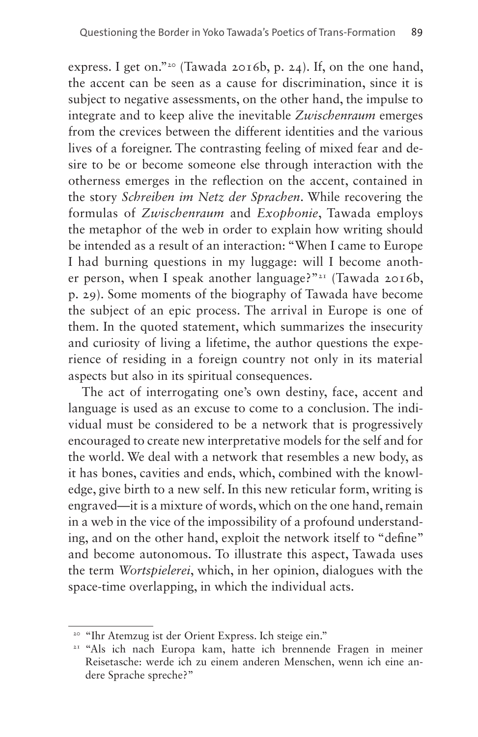express. I get on."<sup>20</sup> (Tawada 2016b, p. 24). If, on the one hand, the accent can be seen as a cause for discrimination, since it is subject to negative assessments, on the other hand, the impulse to integrate and to keep alive the inevitable *Zwischenraum* emerges from the crevices between the different identities and the various lives of a foreigner. The contrasting feeling of mixed fear and desire to be or become someone else through interaction with the otherness emerges in the reflection on the accent, contained in the story *Schreiben im Netz der Sprachen*. While recovering the formulas of *Zwischenraum* and *Exophonie*, Tawada employs the metaphor of the web in order to explain how writing should be intended as a result of an interaction: "When I came to Europe I had burning questions in my luggage: will I become another person, when I speak another language?"[21](#page-14-1) (Tawada 2016b, p. 29). Some moments of the biography of Tawada have become the subject of an epic process. The arrival in Europe is one of them. In the quoted statement, which summarizes the insecurity and curiosity of living a lifetime, the author questions the experience of residing in a foreign country not only in its material aspects but also in its spiritual consequences.

The act of interrogating one's own destiny, face, accent and language is used as an excuse to come to a conclusion. The individual must be considered to be a network that is progressively encouraged to create new interpretative models for the self and for the world. We deal with a network that resembles a new body, as it has bones, cavities and ends, which, combined with the knowledge, give birth to a new self. In this new reticular form, writing is engraved—it is a mixture of words, which on the one hand, remain in a web in the vice of the impossibility of a profound understanding, and on the other hand, exploit the network itself to "define" and become autonomous. To illustrate this aspect, Tawada uses the term *Wortspielerei*, which, in her opinion, dialogues with the space-time overlapping, in which the individual acts.

<span id="page-14-1"></span>

<span id="page-14-0"></span><sup>&</sup>lt;sup>20</sup> "Ihr Atemzug ist der Orient Express. Ich steige ein."<br><sup>21</sup> "Als ich nach Europa kam, hatte ich brennende Fragen in meiner Reisetasche: werde ich zu einem anderen Menschen, wenn ich eine andere Sprache spreche?"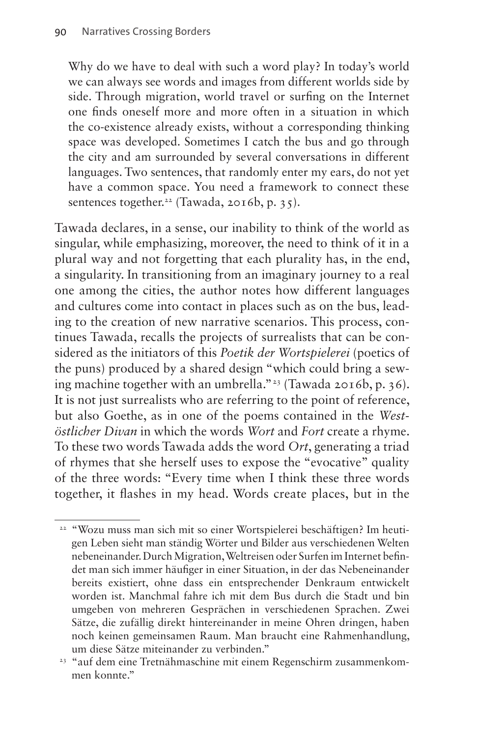Why do we have to deal with such a word play? In today's world we can always see words and images from different worlds side by side. Through migration, world travel or surfing on the Internet one finds oneself more and more often in a situation in which the co-existence already exists, without a corresponding thinking space was developed. Sometimes I catch the bus and go through the city and am surrounded by several conversations in different languages. Two sentences, that randomly enter my ears, do not yet have a common space. You need a framework to connect these sentences together.<sup>[22](#page-15-0)</sup> (Tawada, 2016b, p. 35).

Tawada declares, in a sense, our inability to think of the world as singular, while emphasizing, moreover, the need to think of it in a plural way and not forgetting that each plurality has, in the end, a singularity. In transitioning from an imaginary journey to a real one among the cities, the author notes how different languages and cultures come into contact in places such as on the bus, leading to the creation of new narrative scenarios. This process, continues Tawada, recalls the projects of surrealists that can be considered as the initiators of this *Poetik der Wortspielerei* (poetics of the puns) produced by a shared design "which could bring a sewing machine together with an umbrella.["23](#page-15-1) (Tawada 2016b, p. 36). It is not just surrealists who are referring to the point of reference, but also Goethe, as in one of the poems contained in the *Westöstlicher Divan* in which the words *Wort* and *Fort* create a rhyme. To these two words Tawada adds the word *Ort*, generating a triad of rhymes that she herself uses to expose the "evocative" quality of the three words: "Every time when I think these three words together, it flashes in my head. Words create places, but in the

<span id="page-15-0"></span><sup>&</sup>lt;sup>22</sup> "Wozu muss man sich mit so einer Wortspielerei beschäftigen? Im heutigen Leben sieht man ständig Wörter und Bilder aus verschiedenen Welten nebeneinander. Durch Migration, Weltreisen oder Surfen im Internet befindet man sich immer häufiger in einer Situation, in der das Nebeneinander bereits existiert, ohne dass ein entsprechender Denkraum entwickelt worden ist. Manchmal fahre ich mit dem Bus durch die Stadt und bin umgeben von mehreren Gesprächen in verschiedenen Sprachen. Zwei Sätze, die zufällig direkt hintereinander in meine Ohren dringen, haben noch keinen gemeinsamen Raum. Man braucht eine Rahmenhandlung, um diese Sätze miteinander zu verbinden."

<span id="page-15-1"></span><sup>23</sup> "auf dem eine Tretnähmaschine mit einem Regenschirm zusammenkommen konnte."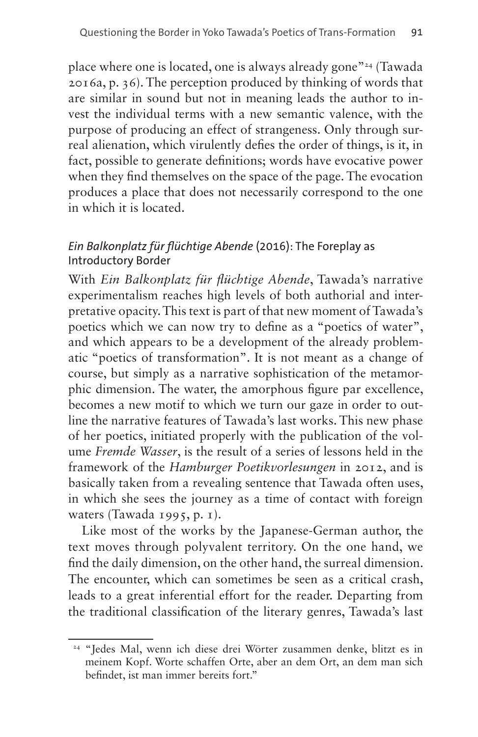place where one is located, one is always already gone"[24](#page-16-0) (Tawada 2016a, p. 36). The perception produced by thinking of words that are similar in sound but not in meaning leads the author to invest the individual terms with a new semantic valence, with the purpose of producing an effect of strangeness. Only through surreal alienation, which virulently defies the order of things, is it, in fact, possible to generate definitions; words have evocative power when they find themselves on the space of the page. The evocation produces a place that does not necessarily correspond to the one in which it is located.

#### *Ein Balkonplatz für flüchtige Abende* (2016): The Foreplay as Introductory Border

With *Ein Balkonplatz für flüchtige Abende*, Tawada's narrative experimentalism reaches high levels of both authorial and interpretative opacity. This text is part of that new moment of Tawada's poetics which we can now try to define as a "poetics of water", and which appears to be a development of the already problematic "poetics of transformation". It is not meant as a change of course, but simply as a narrative sophistication of the metamorphic dimension. The water, the amorphous figure par excellence, becomes a new motif to which we turn our gaze in order to outline the narrative features of Tawada's last works. This new phase of her poetics, initiated properly with the publication of the volume *Fremde Wasser*, is the result of a series of lessons held in the framework of the *Hamburger Poetikvorlesungen* in 2012, and is basically taken from a revealing sentence that Tawada often uses, in which she sees the journey as a time of contact with foreign waters (Tawada 1995, p. 1).

Like most of the works by the Japanese-German author, the text moves through polyvalent territory. On the one hand, we find the daily dimension, on the other hand, the surreal dimension. The encounter, which can sometimes be seen as a critical crash, leads to a great inferential effort for the reader. Departing from the traditional classification of the literary genres, Tawada's last

<span id="page-16-0"></span><sup>24</sup> "Jedes Mal, wenn ich diese drei Wörter zusammen denke, blitzt es in meinem Kopf. Worte schaffen Orte, aber an dem Ort, an dem man sich befindet, ist man immer bereits fort."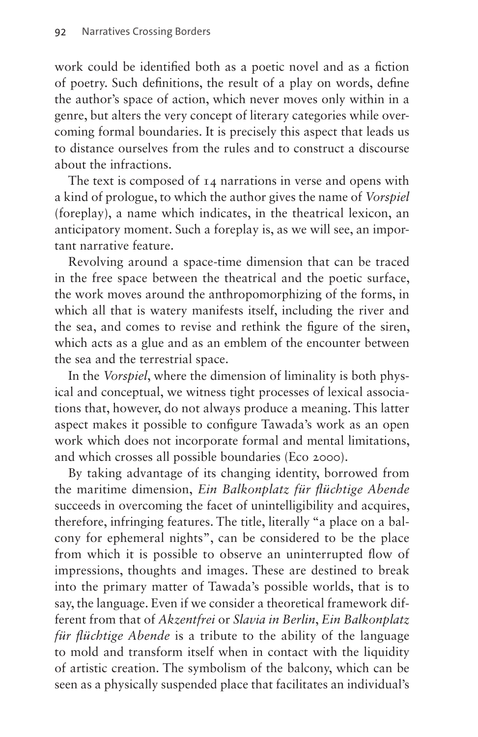work could be identified both as a poetic novel and as a fiction of poetry. Such definitions, the result of a play on words, define the author's space of action, which never moves only within in a genre, but alters the very concept of literary categories while overcoming formal boundaries. It is precisely this aspect that leads us to distance ourselves from the rules and to construct a discourse about the infractions.

The text is composed of 14 narrations in verse and opens with a kind of prologue, to which the author gives the name of *Vorspiel* (foreplay), a name which indicates, in the theatrical lexicon, an anticipatory moment. Such a foreplay is, as we will see, an important narrative feature.

Revolving around a space-time dimension that can be traced in the free space between the theatrical and the poetic surface, the work moves around the anthropomorphizing of the forms, in which all that is watery manifests itself, including the river and the sea, and comes to revise and rethink the figure of the siren, which acts as a glue and as an emblem of the encounter between the sea and the terrestrial space.

In the *Vorspiel*, where the dimension of liminality is both physical and conceptual, we witness tight processes of lexical associations that, however, do not always produce a meaning. This latter aspect makes it possible to configure Tawada's work as an open work which does not incorporate formal and mental limitations, and which crosses all possible boundaries (Eco 2000).

By taking advantage of its changing identity, borrowed from the maritime dimension, *Ein Balkonplatz für flüchtige Abende* succeeds in overcoming the facet of unintelligibility and acquires, therefore, infringing features. The title, literally "a place on a balcony for ephemeral nights", can be considered to be the place from which it is possible to observe an uninterrupted flow of impressions, thoughts and images. These are destined to break into the primary matter of Tawada's possible worlds, that is to say, the language. Even if we consider a theoretical framework different from that of *Akzentfrei* or *Slavia in Berlin*, *Ein Balkonplatz für flüchtige Abende* is a tribute to the ability of the language to mold and transform itself when in contact with the liquidity of artistic creation. The symbolism of the balcony, which can be seen as a physically suspended place that facilitates an individual's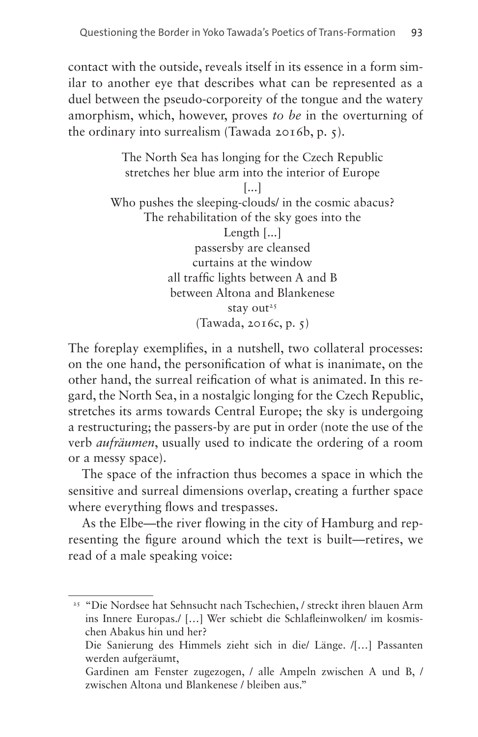contact with the outside, reveals itself in its essence in a form similar to another eye that describes what can be represented as a duel between the pseudo-corporeity of the tongue and the watery amorphism, which, however, proves *to be* in the overturning of the ordinary into surrealism (Tawada 2016b, p. 5).

> The North Sea has longing for the Czech Republic stretches her blue arm into the interior of Europe [...] Who pushes the sleeping-clouds/ in the cosmic abacus? The rehabilitation of the sky goes into the Length [...] passersby are cleansed curtains at the window all traffic lights between A and B between Altona and Blankenese stay out<sup>[25](#page-18-0)</sup> (Tawada, 2016c, p. 5)

The foreplay exemplifies, in a nutshell, two collateral processes: on the one hand, the personification of what is inanimate, on the other hand, the surreal reification of what is animated. In this regard, the North Sea, in a nostalgic longing for the Czech Republic, stretches its arms towards Central Europe; the sky is undergoing a restructuring; the passers-by are put in order (note the use of the verb *aufräumen*, usually used to indicate the ordering of a room or a messy space).

The space of the infraction thus becomes a space in which the sensitive and surreal dimensions overlap, creating a further space where everything flows and trespasses.

As the Elbe—the river flowing in the city of Hamburg and representing the figure around which the text is built—retires, we read of a male speaking voice:

<span id="page-18-0"></span><sup>25</sup> "Die Nordsee hat Sehnsucht nach Tschechien, / streckt ihren blauen Arm ins Innere Europas./ […] Wer schiebt die Schlafleinwolken/ im kosmischen Abakus hin und her?

Die Sanierung des Himmels zieht sich in die/ Länge. /[…] Passanten werden aufgeräumt,

Gardinen am Fenster zugezogen, / alle Ampeln zwischen A und B, / zwischen Altona und Blankenese / bleiben aus."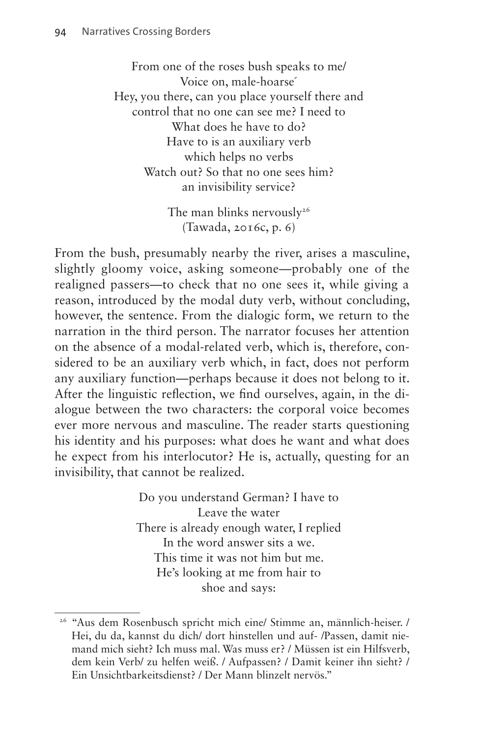From one of the roses bush speaks to me/ Voice on, male-hoarse´ Hey, you there, can you place yourself there and control that no one can see me? I need to What does he have to do? Have to is an auxiliary verb which helps no verbs Watch out? So that no one sees him? an invisibility service?

> The man blinks nervously<sup>26</sup> (Tawada, 2016c, p. 6)

From the bush, presumably nearby the river, arises a masculine, slightly gloomy voice, asking someone—probably one of the realigned passers—to check that no one sees it, while giving a reason, introduced by the modal duty verb, without concluding, however, the sentence. From the dialogic form, we return to the narration in the third person. The narrator focuses her attention on the absence of a modal-related verb, which is, therefore, considered to be an auxiliary verb which, in fact, does not perform any auxiliary function—perhaps because it does not belong to it. After the linguistic reflection, we find ourselves, again, in the dialogue between the two characters: the corporal voice becomes ever more nervous and masculine. The reader starts questioning his identity and his purposes: what does he want and what does he expect from his interlocutor? He is, actually, questing for an invisibility, that cannot be realized.

> Do you understand German? I have to Leave the water There is already enough water, I replied In the word answer sits a we. This time it was not him but me. He's looking at me from hair to shoe and says:

<span id="page-19-0"></span><sup>26</sup> "Aus dem Rosenbusch spricht mich eine/ Stimme an, männlich-heiser. / Hei, du da, kannst du dich/ dort hinstellen und auf- /Passen, damit niemand mich sieht? Ich muss mal. Was muss er? / Müssen ist ein Hilfsverb, dem kein Verb/ zu helfen weiß. / Aufpassen? / Damit keiner ihn sieht? / Ein Unsichtbarkeitsdienst? / Der Mann blinzelt nervös."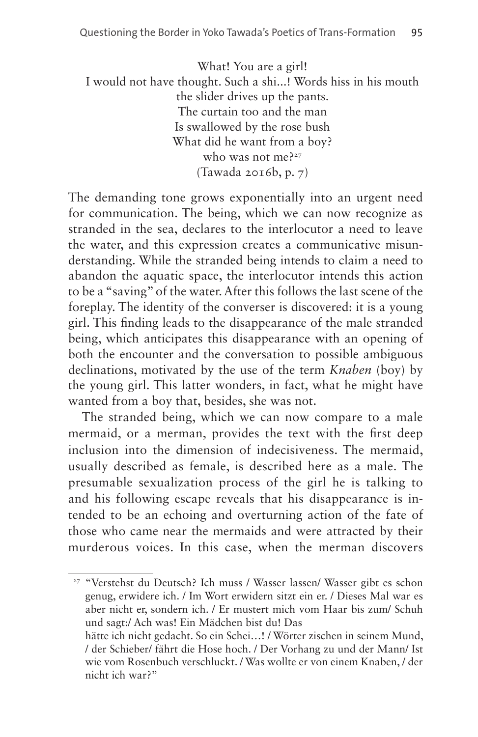What! You are a girl! I would not have thought. Such a shi...! Words hiss in his mouth the slider drives up the pants. The curtain too and the man Is swallowed by the rose bush What did he want from a boy? who was not me?<sup>27</sup> (Tawada 2016b, p. 7)

The demanding tone grows exponentially into an urgent need for communication. The being, which we can now recognize as stranded in the sea, declares to the interlocutor a need to leave the water, and this expression creates a communicative misunderstanding. While the stranded being intends to claim a need to abandon the aquatic space, the interlocutor intends this action to be a "saving" of the water. After this follows the last scene of the foreplay. The identity of the converser is discovered: it is a young girl. This finding leads to the disappearance of the male stranded being, which anticipates this disappearance with an opening of both the encounter and the conversation to possible ambiguous declinations, motivated by the use of the term *Knaben* (boy) by the young girl. This latter wonders, in fact, what he might have wanted from a boy that, besides, she was not.

The stranded being, which we can now compare to a male mermaid, or a merman, provides the text with the first deep inclusion into the dimension of indecisiveness. The mermaid, usually described as female, is described here as a male. The presumable sexualization process of the girl he is talking to and his following escape reveals that his disappearance is intended to be an echoing and overturning action of the fate of those who came near the mermaids and were attracted by their murderous voices. In this case, when the merman discovers

<span id="page-20-0"></span><sup>27</sup> "Verstehst du Deutsch? Ich muss / Wasser lassen/ Wasser gibt es schon genug, erwidere ich. / Im Wort erwidern sitzt ein er. / Dieses Mal war es aber nicht er, sondern ich. / Er mustert mich vom Haar bis zum/ Schuh und sagt:/ Ach was! Ein Mädchen bist du! Das

hätte ich nicht gedacht. So ein Schei…! / Wörter zischen in seinem Mund, / der Schieber/ fährt die Hose hoch. / Der Vorhang zu und der Mann/ Ist wie vom Rosenbuch verschluckt. / Was wollte er von einem Knaben, / der nicht ich war?"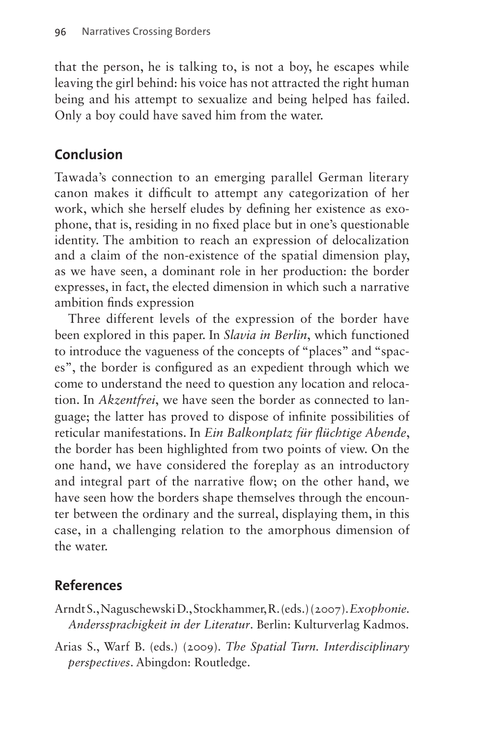that the person, he is talking to, is not a boy, he escapes while leaving the girl behind: his voice has not attracted the right human being and his attempt to sexualize and being helped has failed. Only a boy could have saved him from the water.

## **Conclusion**

Tawada's connection to an emerging parallel German literary canon makes it difficult to attempt any categorization of her work, which she herself eludes by defining her existence as exophone, that is, residing in no fixed place but in one's questionable identity. The ambition to reach an expression of delocalization and a claim of the non-existence of the spatial dimension play, as we have seen, a dominant role in her production: the border expresses, in fact, the elected dimension in which such a narrative ambition finds expression

Three different levels of the expression of the border have been explored in this paper. In *Slavia in Berlin*, which functioned to introduce the vagueness of the concepts of "places" and "spaces", the border is configured as an expedient through which we come to understand the need to question any location and relocation. In *Akzentfrei*, we have seen the border as connected to language; the latter has proved to dispose of infinite possibilities of reticular manifestations. In *Ein Balkonplatz für flüchtige Abende*, the border has been highlighted from two points of view. On the one hand, we have considered the foreplay as an introductory and integral part of the narrative flow; on the other hand, we have seen how the borders shape themselves through the encounter between the ordinary and the surreal, displaying them, in this case, in a challenging relation to the amorphous dimension of the water.

## **References**

- Arndt S., Naguschewski D., Stockhammer, R. (eds.) (2007). *Exophonie. Anderssprachigkeit in der Literatur*. Berlin: Kulturverlag Kadmos.
- Arias S., Warf B. (eds.) (2009). *The Spatial Turn. Interdisciplinary perspectives*. Abingdon: Routledge.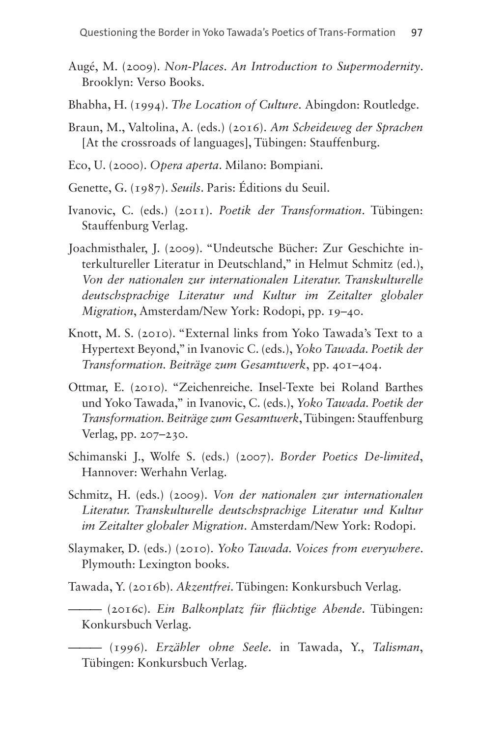- Augé, M. (2009). *Non-Places. An Introduction to Supermodernity*. Brooklyn: Verso Books.
- Bhabha, H. (1994). *The Location of Culture*. Abingdon: Routledge.
- Braun, M., Valtolina, A. (eds.) (2016). *Am Scheideweg der Sprachen* [At the crossroads of languages], Tübingen: Stauffenburg.
- Eco, U. (2000). *Opera aperta*. Milano: Bompiani.
- Genette, G. (1987). *Seuils*. Paris: Éditions du Seuil.
- Ivanovic, C. (eds.) (2011). *Poetik der Transformation*. Tübingen: Stauffenburg Verlag.
- Joachmisthaler, J. (2009). "Undeutsche Bücher: Zur Geschichte interkultureller Literatur in Deutschland," in Helmut Schmitz (ed.), *Von der nationalen zur internationalen Literatur. Transkulturelle deutschsprachige Literatur und Kultur im Zeitalter globaler Migration*, Amsterdam/New York: Rodopi, pp. 19–40.
- Knott, M. S. (2010). "External links from Yoko Tawada's Text to a Hypertext Beyond," in Ivanovic C. (eds.), *Yoko Tawada. Poetik der Transformation. Beiträge zum Gesamtwerk*, pp. 401–404.
- Ottmar, E. (2010). "Zeichenreiche. Insel-Texte bei Roland Barthes und Yoko Tawada," in Ivanovic, C. (eds.), *Yoko Tawada. Poetik der Transformation. Beiträge zum Gesamtwerk*, Tübingen: Stauffenburg Verlag, pp. 207–230.
- Schimanski J., Wolfe S. (eds.) (2007). *Border Poetics De-limited*, Hannover: Werhahn Verlag.
- Schmitz, H. (eds.) (2009). *Von der nationalen zur internationalen Literatur. Transkulturelle deutschsprachige Literatur und Kultur im Zeitalter globaler Migration*. Amsterdam/New York: Rodopi.
- Slaymaker, D. (eds.) (2010). *Yoko Tawada. Voices from everywhere*. Plymouth: Lexington books.
- Tawada, Y. (2016b). *Akzentfrei*. Tübingen: Konkursbuch Verlag.
- ——— (2016c). *Ein Balkonplatz für flüchtige Abende*. Tübingen: Konkursbuch Verlag.

——— (1996). *Erzähler ohne Seele*. in Tawada, Y., *Talisman*, Tübingen: Konkursbuch Verlag.